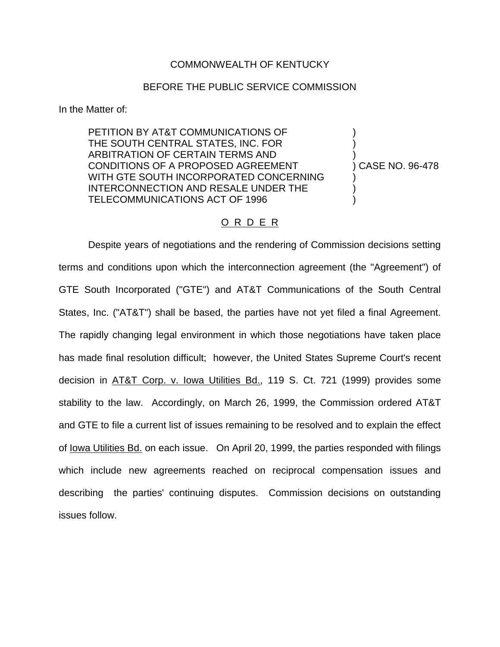## COMMONWEALTH OF KENTUCKY

## BEFORE THE PUBLIC SERVICE COMMISSION

In the Matter of:

PETITION BY AT&T COMMUNICATIONS OF ) THE SOUTH CENTRAL STATES, INC. FOR ) ARBITRATION OF CERTAIN TERMS AND ) CONDITIONS OF A PROPOSED AGREEMENT ) CASE NO. 96-478 WITH GTE SOUTH INCORPORATED CONCERNING INTERCONNECTION AND RESALE UNDER THE TELECOMMUNICATIONS ACT OF 1996 )

## O R D E R

Despite years of negotiations and the rendering of Commission decisions setting terms and conditions upon which the interconnection agreement (the "Agreement") of GTE South Incorporated ("GTE") and AT&T Communications of the South Central States, Inc. ("AT&T") shall be based, the parties have not yet filed a final Agreement. The rapidly changing legal environment in which those negotiations have taken place has made final resolution difficult; however, the United States Supreme Court's recent decision in AT&T Corp. v. Iowa Utilities Bd., 119 S. Ct. 721 (1999) provides some stability to the law. Accordingly, on March 26, 1999, the Commission ordered AT&T and GTE to file a current list of issues remaining to be resolved and to explain the effect of Iowa Utilities Bd. on each issue. On April 20, 1999, the parties responded with filings which include new agreements reached on reciprocal compensation issues and describing the parties' continuing disputes. Commission decisions on outstanding issues follow.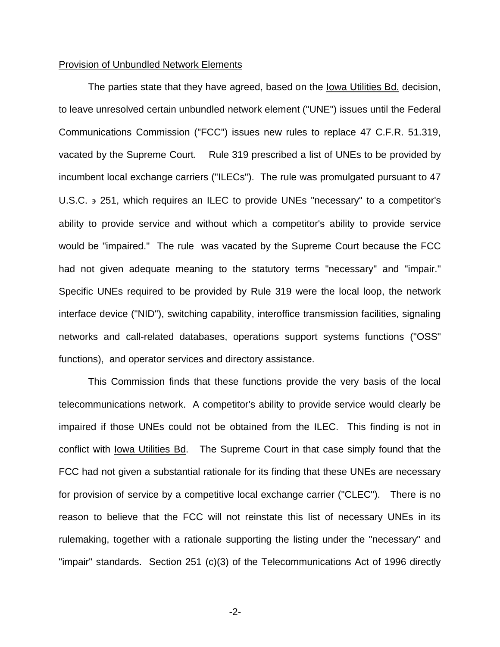#### Provision of Unbundled Network Elements

The parties state that they have agreed, based on the Iowa Utilities Bd. decision, to leave unresolved certain unbundled network element ("UNE") issues until the Federal Communications Commission ("FCC") issues new rules to replace 47 C.F.R. 51.319, vacated by the Supreme Court. Rule 319 prescribed a list of UNEs to be provided by incumbent local exchange carriers ("ILECs"). The rule was promulgated pursuant to 47 U.S.C.  $\rightarrow$  251, which requires an ILEC to provide UNEs "necessary" to a competitor's ability to provide service and without which a competitor's ability to provide service would be "impaired." The rule was vacated by the Supreme Court because the FCC had not given adequate meaning to the statutory terms "necessary" and "impair." Specific UNEs required to be provided by Rule 319 were the local loop, the network interface device ("NID"), switching capability, interoffice transmission facilities, signaling networks and call-related databases, operations support systems functions ("OSS" functions), and operator services and directory assistance.

This Commission finds that these functions provide the very basis of the local telecommunications network. A competitor's ability to provide service would clearly be impaired if those UNEs could not be obtained from the ILEC. This finding is not in conflict with Iowa Utilities Bd. The Supreme Court in that case simply found that the FCC had not given a substantial rationale for its finding that these UNEs are necessary for provision of service by a competitive local exchange carrier ("CLEC"). There is no reason to believe that the FCC will not reinstate this list of necessary UNEs in its rulemaking, together with a rationale supporting the listing under the "necessary" and "impair" standards. Section 251 (c)(3) of the Telecommunications Act of 1996 directly

-2-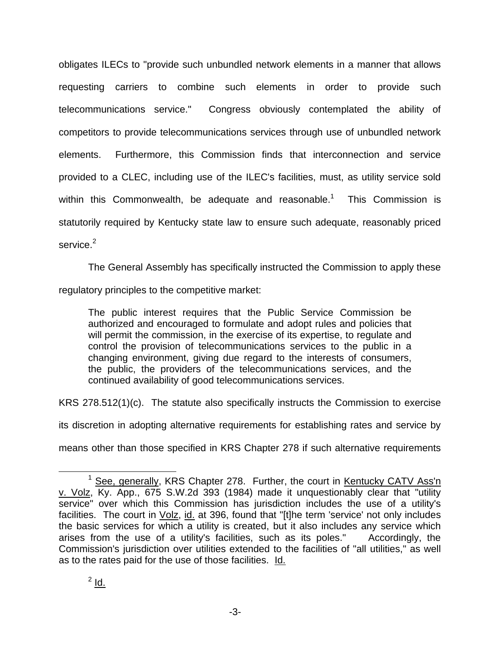obligates ILECs to "provide such unbundled network elements in a manner that allows requesting carriers to combine such elements in order to provide such telecommunications service." Congress obviously contemplated the ability of competitors to provide telecommunications services through use of unbundled network elements. Furthermore, this Commission finds that interconnection and service provided to a CLEC, including use of the ILEC's facilities, must, as utility service sold within this Commonwealth, be adequate and reasonable.<sup>1</sup> This Commission is statutorily required by Kentucky state law to ensure such adequate, reasonably priced service<sup>2</sup>

The General Assembly has specifically instructed the Commission to apply these regulatory principles to the competitive market:

The public interest requires that the Public Service Commission be authorized and encouraged to formulate and adopt rules and policies that will permit the commission, in the exercise of its expertise, to regulate and control the provision of telecommunications services to the public in a changing environment, giving due regard to the interests of consumers, the public, the providers of the telecommunications services, and the continued availability of good telecommunications services.

KRS 278.512(1)(c). The statute also specifically instructs the Commission to exercise

its discretion in adopting alternative requirements for establishing rates and service by

means other than those specified in KRS Chapter 278 if such alternative requirements

<sup>&</sup>lt;sup>1</sup> See, generally, KRS Chapter 278. Further, the court in Kentucky CATV Ass'n v. Volz, Ky. App., 675 S.W.2d 393 (1984) made it unquestionably clear that "utility service" over which this Commission has jurisdiction includes the use of a utility's facilities. The court in Volz, id. at 396, found that "[t]he term 'service' not only includes the basic services for which a utility is created, but it also includes any service which arises from the use of a utility's facilities, such as its poles." Accordingly, the Commission's jurisdiction over utilities extended to the facilities of "all utilities," as well as to the rates paid for the use of those facilities. Id.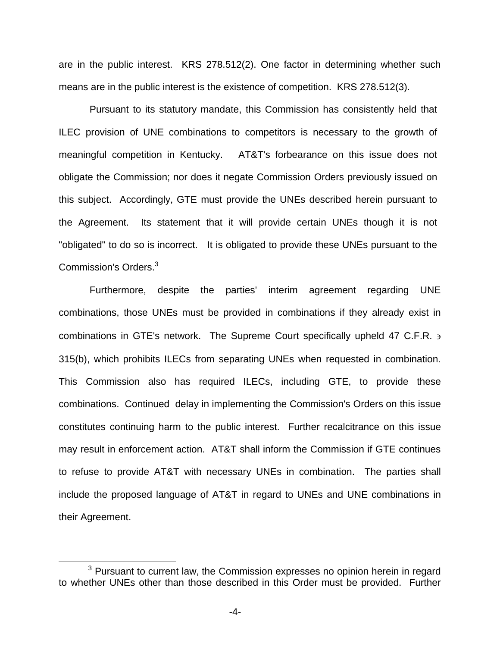are in the public interest. KRS 278.512(2). One factor in determining whether such means are in the public interest is the existence of competition. KRS 278.512(3).

Pursuant to its statutory mandate, this Commission has consistently held that ILEC provision of UNE combinations to competitors is necessary to the growth of meaningful competition in Kentucky. AT&T's forbearance on this issue does not obligate the Commission; nor does it negate Commission Orders previously issued on this subject. Accordingly, GTE must provide the UNEs described herein pursuant to the Agreement. Its statement that it will provide certain UNEs though it is not "obligated" to do so is incorrect. It is obligated to provide these UNEs pursuant to the Commission's Orders.3

Furthermore, despite the parties' interim agreement regarding UNE combinations, those UNEs must be provided in combinations if they already exist in combinations in GTE's network. The Supreme Court specifically upheld 47 C.F.R. ' 315(b), which prohibits ILECs from separating UNEs when requested in combination. This Commission also has required ILECs, including GTE, to provide these combinations. Continued delay in implementing the Commission's Orders on this issue constitutes continuing harm to the public interest. Further recalcitrance on this issue may result in enforcement action. AT&T shall inform the Commission if GTE continues to refuse to provide AT&T with necessary UNEs in combination. The parties shall include the proposed language of AT&T in regard to UNEs and UNE combinations in their Agreement.

 $3$  Pursuant to current law, the Commission expresses no opinion herein in regard to whether UNEs other than those described in this Order must be provided. Further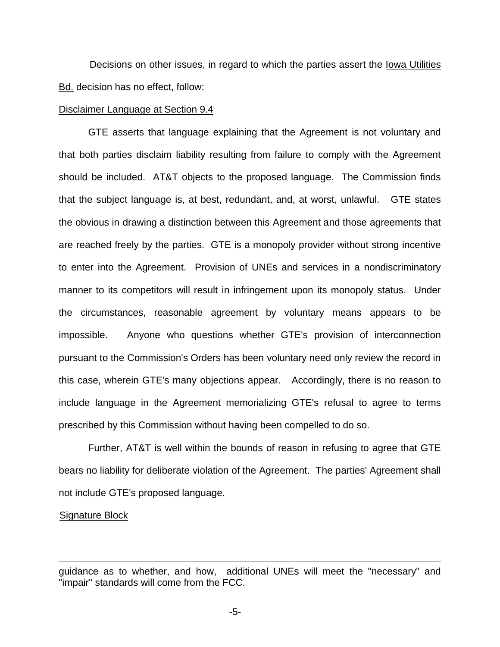Decisions on other issues, in regard to which the parties assert the Iowa Utilities Bd. decision has no effect, follow:

#### Disclaimer Language at Section 9.4

GTE asserts that language explaining that the Agreement is not voluntary and that both parties disclaim liability resulting from failure to comply with the Agreement should be included. AT&T objects to the proposed language. The Commission finds that the subject language is, at best, redundant, and, at worst, unlawful. GTE states the obvious in drawing a distinction between this Agreement and those agreements that are reached freely by the parties. GTE is a monopoly provider without strong incentive to enter into the Agreement. Provision of UNEs and services in a nondiscriminatory manner to its competitors will result in infringement upon its monopoly status. Under the circumstances, reasonable agreement by voluntary means appears to be impossible. Anyone who questions whether GTE's provision of interconnection pursuant to the Commission's Orders has been voluntary need only review the record in this case, wherein GTE's many objections appear. Accordingly, there is no reason to include language in the Agreement memorializing GTE's refusal to agree to terms prescribed by this Commission without having been compelled to do so.

Further, AT&T is well within the bounds of reason in refusing to agree that GTE bears no liability for deliberate violation of the Agreement. The parties' Agreement shall not include GTE's proposed language.

#### Signature Block

guidance as to whether, and how, additional UNEs will meet the "necessary" and "impair" standards will come from the FCC.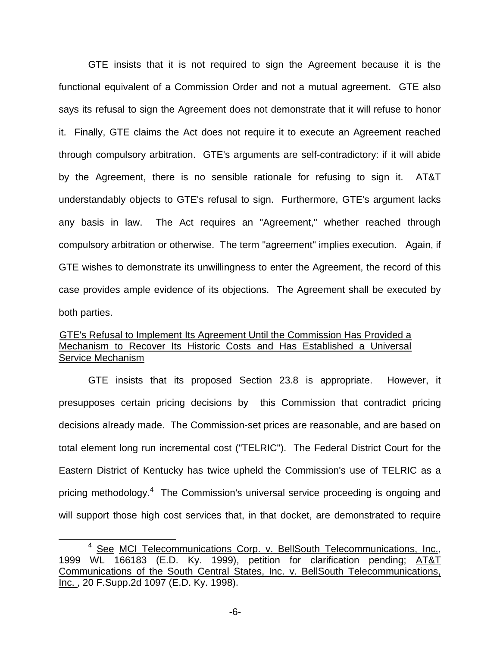GTE insists that it is not required to sign the Agreement because it is the functional equivalent of a Commission Order and not a mutual agreement. GTE also says its refusal to sign the Agreement does not demonstrate that it will refuse to honor it. Finally, GTE claims the Act does not require it to execute an Agreement reached through compulsory arbitration. GTE's arguments are self-contradictory: if it will abide by the Agreement, there is no sensible rationale for refusing to sign it. AT&T understandably objects to GTE's refusal to sign. Furthermore, GTE's argument lacks any basis in law. The Act requires an "Agreement," whether reached through compulsory arbitration or otherwise. The term "agreement" implies execution. Again, if GTE wishes to demonstrate its unwillingness to enter the Agreement, the record of this case provides ample evidence of its objections. The Agreement shall be executed by both parties.

# GTE's Refusal to Implement Its Agreement Until the Commission Has Provided a Mechanism to Recover Its Historic Costs and Has Established a Universal Service Mechanism

GTE insists that its proposed Section 23.8 is appropriate. However, it presupposes certain pricing decisions by this Commission that contradict pricing decisions already made. The Commission-set prices are reasonable, and are based on total element long run incremental cost ("TELRIC"). The Federal District Court for the Eastern District of Kentucky has twice upheld the Commission's use of TELRIC as a pricing methodology.<sup>4</sup> The Commission's universal service proceeding is ongoing and will support those high cost services that, in that docket, are demonstrated to require

<sup>&</sup>lt;sup>4</sup> See MCI Telecommunications Corp. v. BellSouth Telecommunications, Inc., 1999 WL 166183 (E.D. Ky. 1999), petition for clarification pending; AT&T Communications of the South Central States, Inc. v. BellSouth Telecommunications, Inc., 20 F.Supp.2d 1097 (E.D. Ky. 1998).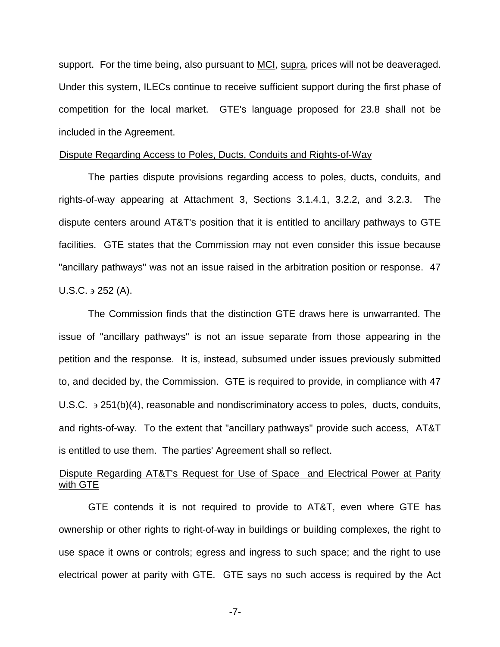support. For the time being, also pursuant to MCI, supra, prices will not be deaveraged. Under this system, ILECs continue to receive sufficient support during the first phase of competition for the local market. GTE's language proposed for 23.8 shall not be included in the Agreement.

## Dispute Regarding Access to Poles, Ducts, Conduits and Rights-of-Way

The parties dispute provisions regarding access to poles, ducts, conduits, and rights-of-way appearing at Attachment 3, Sections 3.1.4.1, 3.2.2, and 3.2.3. The dispute centers around AT&T's position that it is entitled to ancillary pathways to GTE facilities. GTE states that the Commission may not even consider this issue because "ancillary pathways" was not an issue raised in the arbitration position or response. 47  $U.S.C. \ni 252 (A).$ 

The Commission finds that the distinction GTE draws here is unwarranted. The issue of "ancillary pathways" is not an issue separate from those appearing in the petition and the response. It is, instead, subsumed under issues previously submitted to, and decided by, the Commission. GTE is required to provide, in compliance with 47 U.S.C.  $\rightarrow$  251(b)(4), reasonable and nondiscriminatory access to poles, ducts, conduits, and rights-of-way. To the extent that "ancillary pathways" provide such access, AT&T is entitled to use them. The parties' Agreement shall so reflect.

# Dispute Regarding AT&T's Request for Use of Space and Electrical Power at Parity with GTE

GTE contends it is not required to provide to AT&T, even where GTE has ownership or other rights to right-of-way in buildings or building complexes, the right to use space it owns or controls; egress and ingress to such space; and the right to use electrical power at parity with GTE. GTE says no such access is required by the Act

-7-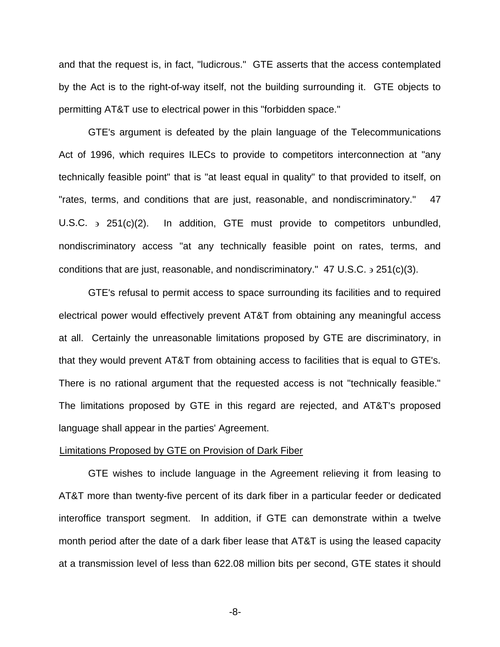and that the request is, in fact, "ludicrous." GTE asserts that the access contemplated by the Act is to the right-of-way itself, not the building surrounding it. GTE objects to permitting AT&T use to electrical power in this "forbidden space."

GTE's argument is defeated by the plain language of the Telecommunications Act of 1996, which requires ILECs to provide to competitors interconnection at "any technically feasible point" that is "at least equal in quality" to that provided to itself, on "rates, terms, and conditions that are just, reasonable, and nondiscriminatory." 47 U.S.C.  $\rightarrow$  251(c)(2). In addition, GTE must provide to competitors unbundled, nondiscriminatory access "at any technically feasible point on rates, terms, and conditions that are just, reasonable, and nondiscriminatory."  $47 \text{ U.S.C.} \rightarrow 251(c)(3)$ .

GTE's refusal to permit access to space surrounding its facilities and to required electrical power would effectively prevent AT&T from obtaining any meaningful access at all. Certainly the unreasonable limitations proposed by GTE are discriminatory, in that they would prevent AT&T from obtaining access to facilities that is equal to GTE's. There is no rational argument that the requested access is not "technically feasible." The limitations proposed by GTE in this regard are rejected, and AT&T's proposed language shall appear in the parties' Agreement.

#### Limitations Proposed by GTE on Provision of Dark Fiber

GTE wishes to include language in the Agreement relieving it from leasing to AT&T more than twenty-five percent of its dark fiber in a particular feeder or dedicated interoffice transport segment. In addition, if GTE can demonstrate within a twelve month period after the date of a dark fiber lease that AT&T is using the leased capacity at a transmission level of less than 622.08 million bits per second, GTE states it should

-8-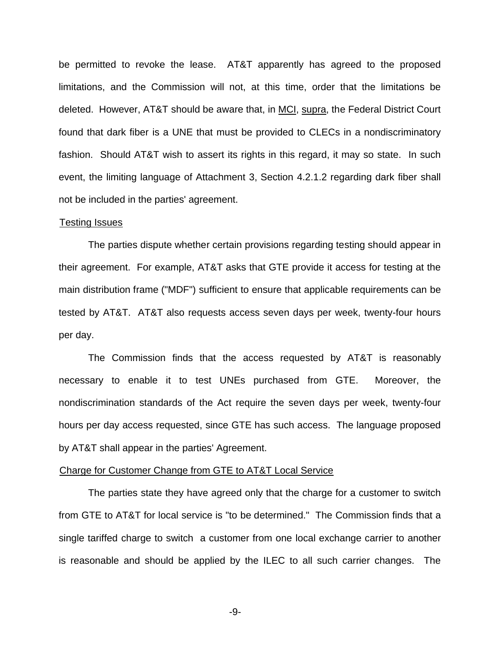be permitted to revoke the lease. AT&T apparently has agreed to the proposed limitations, and the Commission will not, at this time, order that the limitations be deleted. However, AT&T should be aware that, in MCI, supra, the Federal District Court found that dark fiber is a UNE that must be provided to CLECs in a nondiscriminatory fashion. Should AT&T wish to assert its rights in this regard, it may so state. In such event, the limiting language of Attachment 3, Section 4.2.1.2 regarding dark fiber shall not be included in the parties' agreement.

#### Testing Issues

The parties dispute whether certain provisions regarding testing should appear in their agreement. For example, AT&T asks that GTE provide it access for testing at the main distribution frame ("MDF") sufficient to ensure that applicable requirements can be tested by AT&T. AT&T also requests access seven days per week, twenty-four hours per day.

The Commission finds that the access requested by AT&T is reasonably necessary to enable it to test UNEs purchased from GTE. Moreover, the nondiscrimination standards of the Act require the seven days per week, twenty-four hours per day access requested, since GTE has such access. The language proposed by AT&T shall appear in the parties' Agreement.

#### Charge for Customer Change from GTE to AT&T Local Service

The parties state they have agreed only that the charge for a customer to switch from GTE to AT&T for local service is "to be determined." The Commission finds that a single tariffed charge to switch a customer from one local exchange carrier to another is reasonable and should be applied by the ILEC to all such carrier changes. The

-9-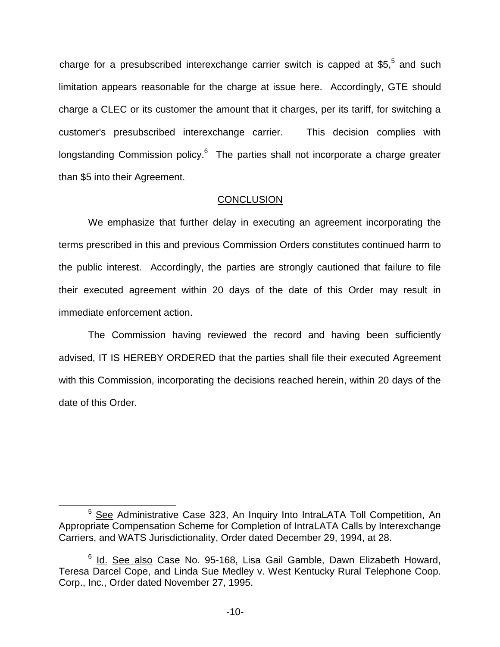charge for a presubscribed interexchange carrier switch is capped at  $$5,5$  and such limitation appears reasonable for the charge at issue here. Accordingly, GTE should charge a CLEC or its customer the amount that it charges, per its tariff, for switching a customer's presubscribed interexchange carrier. This decision complies with longstanding Commission policy. $6$  The parties shall not incorporate a charge greater than \$5 into their Agreement.

# **CONCLUSION**

We emphasize that further delay in executing an agreement incorporating the terms prescribed in this and previous Commission Orders constitutes continued harm to the public interest. Accordingly, the parties are strongly cautioned that failure to file their executed agreement within 20 days of the date of this Order may result in immediate enforcement action.

The Commission having reviewed the record and having been sufficiently advised, IT IS HEREBY ORDERED that the parties shall file their executed Agreement with this Commission, incorporating the decisions reached herein, within 20 days of the date of this Order.

<sup>&</sup>lt;sup>5</sup> See Administrative Case 323, An Inquiry Into IntraLATA Toll Competition, An Appropriate Compensation Scheme for Completion of IntraLATA Calls by Interexchange Carriers, and WATS Jurisdictionality, Order dated December 29, 1994, at 28.

<sup>6</sup> Id. See also Case No. 95-168, Lisa Gail Gamble, Dawn Elizabeth Howard, Teresa Darcel Cope, and Linda Sue Medley v. West Kentucky Rural Telephone Coop. Corp., Inc., Order dated November 27, 1995.